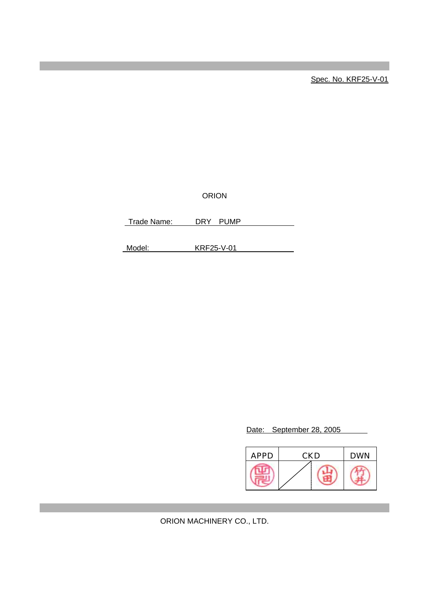Spec. No. KRF25-V-01

ORION

Trade Name: DRY PUMP

Model: KRF25-V-01

Date: September 28, 2005

| <b>APPD</b> | <b>CKD</b> | <b>DWN</b> |  |
|-------------|------------|------------|--|
|             |            |            |  |

ORION MACHINERY CO., LTD.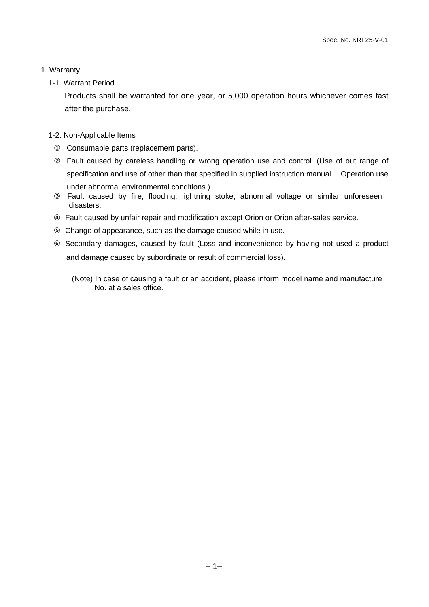## 1. Warranty

1-1. Warrant Period

Products shall be warranted for one year, or 5,000 operation hours whichever comes fast after the purchase.

# 1-2. Non-Applicable Items

Consumable parts (replacement parts).

Fault caused by careless handling or wrong operation use and control. (Use of out range of specification and use of other than that specified in supplied instruction manual. Operation use under abnormal environmental conditions.)

 Fault caused by fire, flooding, lightning stoke, abnormal voltage or similar unforeseen disasters.

Fault caused by unfair repair and modification except Orion or Orion after-sales service.

Change of appearance, such as the damage caused while in use.

 Secondary damages, caused by fault (Loss and inconvenience by having not used a product and damage caused by subordinate or result of commercial loss).

(Note) In case of causing a fault or an accident, please inform model name and manufacture No. at a sales office.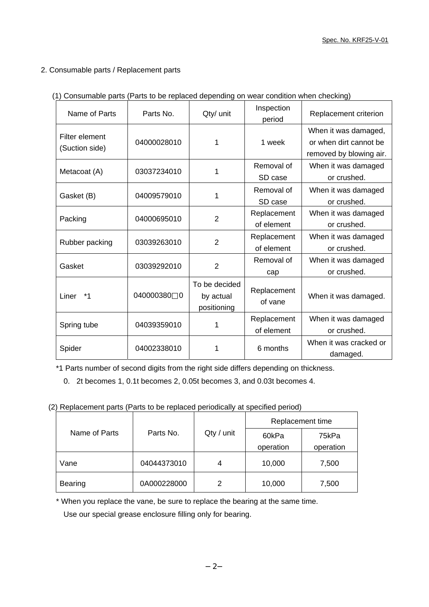# 2. Consumable parts / Replacement parts

| Name of Parts                    | Parts No.             | Qty/ unit                                 | Inspection<br>period      | Replacement criterion                                                     |
|----------------------------------|-----------------------|-------------------------------------------|---------------------------|---------------------------------------------------------------------------|
| Filter element<br>(Suction side) | 04000028010           | 1                                         | 1 week                    | When it was damaged,<br>or when dirt cannot be<br>removed by blowing air. |
| Metacoat (A)                     | 03037234010           | 1                                         | Removal of<br>SD case     | When it was damaged<br>or crushed.                                        |
| Gasket (B)                       | 04009579010           | 1                                         | Removal of<br>SD case     | When it was damaged<br>or crushed.                                        |
| Packing                          | 04000695010           | $\overline{2}$                            | Replacement<br>of element | When it was damaged<br>or crushed.                                        |
| Rubber packing                   | 03039263010           | 2                                         | Replacement<br>of element | When it was damaged<br>or crushed.                                        |
| Gasket                           | 03039292010           | $\overline{2}$                            | Removal of<br>cap         | When it was damaged<br>or crushed.                                        |
| $*_{1}$<br>Liner                 | 040000380<br>$\Omega$ | To be decided<br>by actual<br>positioning | Replacement<br>of vane    | When it was damaged.                                                      |
| Spring tube                      | 04039359010           |                                           | Replacement<br>of element | When it was damaged<br>or crushed.                                        |
| Spider                           | 04002338010           | 1                                         | 6 months                  | When it was cracked or<br>damaged.                                        |

|  | (1) Consumable parts (Parts to be replaced depending on wear condition when checking) |  |  |  |  |  |  |  |  |
|--|---------------------------------------------------------------------------------------|--|--|--|--|--|--|--|--|
|--|---------------------------------------------------------------------------------------|--|--|--|--|--|--|--|--|

\*1 Parts number of second digits from the right side differs depending on thickness.

0. 2t becomes 1, 0.1t becomes 2, 0.05t becomes 3, and 0.03t becomes 4.

(2) Replacement parts (Parts to be replaced periodically at specified period)

|                | Parts No.   | Qty / unit | Replacement time |           |  |
|----------------|-------------|------------|------------------|-----------|--|
| Name of Parts  |             |            | 60kPa            | 75kPa     |  |
|                |             |            | operation        | operation |  |
| Vane           | 04044373010 | 4          | 10,000           | 7,500     |  |
| <b>Bearing</b> | 0A000228000 | 2          | 10,000           | 7,500     |  |

\* When you replace the vane, be sure to replace the bearing at the same time.

Use our special grease enclosure filling only for bearing.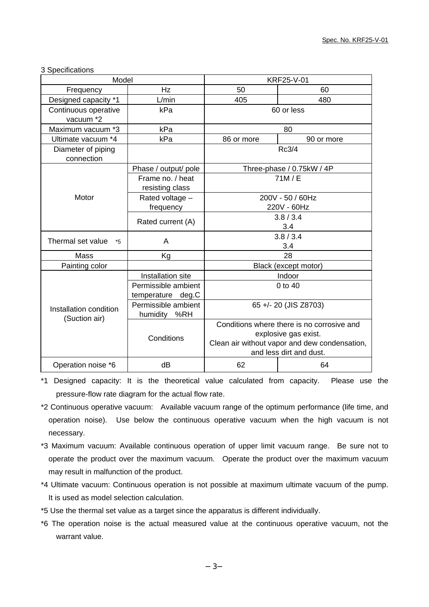## 3 Specifications

| Model                                   |                                        | <b>KRF25-V-01</b>                             |            |  |
|-----------------------------------------|----------------------------------------|-----------------------------------------------|------------|--|
| Frequency                               | Hz                                     | 50                                            | 60         |  |
| Designed capacity *1                    | L/min                                  | 480<br>405                                    |            |  |
| Continuous operative                    | kPa                                    |                                               | 60 or less |  |
| vacuum *2                               |                                        |                                               |            |  |
| Maximum vacuum *3                       | kPa                                    |                                               | 80         |  |
| Ultimate vacuum *4                      | kPa                                    | 86 or more                                    | 90 or more |  |
| Diameter of piping                      |                                        |                                               | Rc3/4      |  |
| connection                              |                                        |                                               |            |  |
|                                         | Phase / output/ pole                   | Three-phase / 0.75kW / 4P                     |            |  |
|                                         | Frame no. / heat                       | 71M/E                                         |            |  |
|                                         | resisting class                        |                                               |            |  |
| Motor                                   | Rated voltage -                        | 200V - 50 / 60Hz                              |            |  |
|                                         | frequency                              | 220V - 60Hz                                   |            |  |
|                                         | Rated current (A)                      | 3.8 / 3.4                                     |            |  |
|                                         |                                        | 3.4                                           |            |  |
| Thermal set value<br>*5                 | A                                      |                                               | 3.8 / 3.4  |  |
|                                         |                                        | 3.4                                           |            |  |
| Mass                                    | Kg                                     | 28                                            |            |  |
| Painting color                          |                                        | Black (except motor)                          |            |  |
|                                         | Installation site                      | Indoor                                        |            |  |
|                                         | Permissible ambient                    | 0 to 40                                       |            |  |
|                                         | temperature deg.C                      |                                               |            |  |
| Installation condition<br>(Suction air) | Permissible ambient<br>%RH<br>humidity | 65 +/- 20 (JIS Z8703)                         |            |  |
|                                         |                                        | Conditions where there is no corrosive and    |            |  |
|                                         | Conditions                             | explosive gas exist.                          |            |  |
|                                         |                                        | Clean air without vapor and dew condensation, |            |  |
|                                         |                                        | and less dirt and dust.                       |            |  |
| Operation noise *6                      | dB                                     | 62<br>64                                      |            |  |

\*1 Designed capacity: It is the theoretical value calculated from capacity. Please use the pressure-flow rate diagram for the actual flow rate.

- \*2 Continuous operative vacuum: Available vacuum range of the optimum performance (life time, and operation noise). Use below the continuous operative vacuum when the high vacuum is not necessary.
- \*3 Maximum vacuum: Available continuous operation of upper limit vacuum range. Be sure not to operate the product over the maximum vacuum. Operate the product over the maximum vacuum may result in malfunction of the product.
- \*4 Ultimate vacuum: Continuous operation is not possible at maximum ultimate vacuum of the pump. It is used as model selection calculation.
- \*5 Use the thermal set value as a target since the apparatus is different individually.
- \*6 The operation noise is the actual measured value at the continuous operative vacuum, not the warrant value.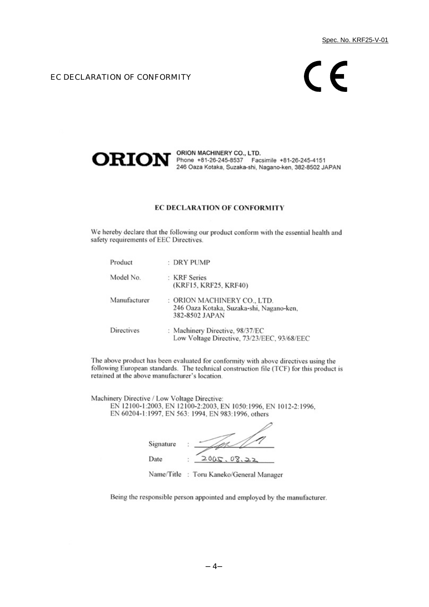#### EC DECLARATION OF CONFORMITY

# $\mathsf{\Gamma}\in$



ORION MACHINERY CO., LTD. Phone +81-26-245-8537 Facsimile +81-26-245-4151 246 Oaza Kotaka, Suzaka-shi, Nagano-ken, 382-8502 JAPAN

#### EC DECLARATION OF CONFORMITY

We hereby declare that the following our product conform with the essential health and safety requirements of EEC Directives.

| Product      | $:$ DRY PUMP                                                                              |
|--------------|-------------------------------------------------------------------------------------------|
| Model No.    | : KRF Series<br>(KRF15, KRF25, KRF40)                                                     |
| Manufacturer | : ORION MACHINERY CO., LTD.<br>246 Oaza Kotaka, Suzaka-shi, Nagano-ken,<br>382-8502 JAPAN |
| Directives   | : Machinery Directive, 98/37/EC<br>Low Voltage Directive, 73/23/EEC, 93/68/EEC            |

The above product has been evaluated for conformity with above directives using the following European standards. The technical construction file (TCF) for this product is retained at the above manufacturer's location.

Machinery Directive / Low Voltage Directive: EN 12100-1:2003, EN 12100-2:2003, EN 1050:1996, EN 1012-2:1996, EN 60204-1:1997, EN 563: 1994, EN 983:1996, others

Signature Date  $2005.$  $08.22$ 

Name/Title : Toru Kaneko/General Manager

Being the responsible person appointed and employed by the manufacturer.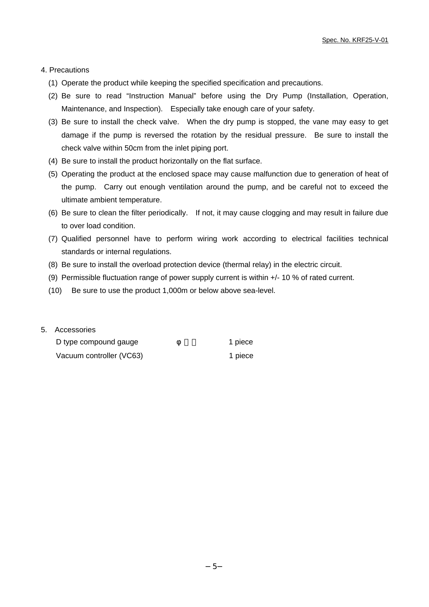#### 4. Precautions

- (1) Operate the product while keeping the specified specification and precautions.
- (2) Be sure to read "Instruction Manual" before using the Dry Pump (Installation, Operation, Maintenance, and Inspection). Especially take enough care of your safety.
- (3) Be sure to install the check valve. When the dry pump is stopped, the vane may easy to get damage if the pump is reversed the rotation by the residual pressure. Be sure to install the check valve within 50cm from the inlet piping port.
- (4) Be sure to install the product horizontally on the flat surface.
- (5) Operating the product at the enclosed space may cause malfunction due to generation of heat of the pump. Carry out enough ventilation around the pump, and be careful not to exceed the ultimate ambient temperature.
- (6) Be sure to clean the filter periodically. If not, it may cause clogging and may result in failure due to over load condition.
- (7) Qualified personnel have to perform wiring work according to electrical facilities technical standards or internal regulations.
- (8) Be sure to install the overload protection device (thermal relay) in the electric circuit.
- (9) Permissible fluctuation range of power supply current is within +/- 10 % of rated current.
- (10) Be sure to use the product 1,000m or below above sea-level.

#### 5. Accessories

| D type compound gauge    | 1 piece |
|--------------------------|---------|
| Vacuum controller (VC63) | 1 piece |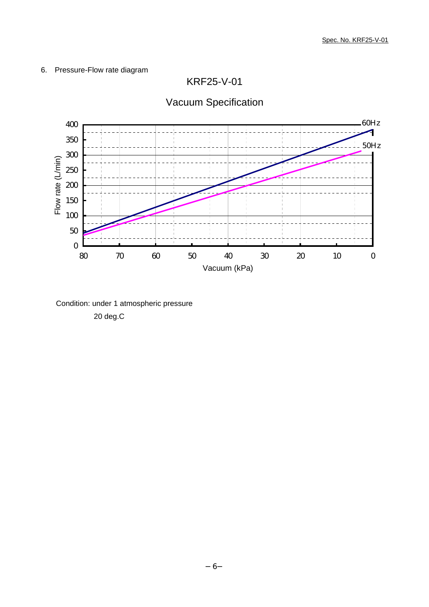# 6. Pressure-Flow rate diagram

KRF25-V-01



Vacuum Specification

Condition: under 1 atmospheric pressure 20 deg.C